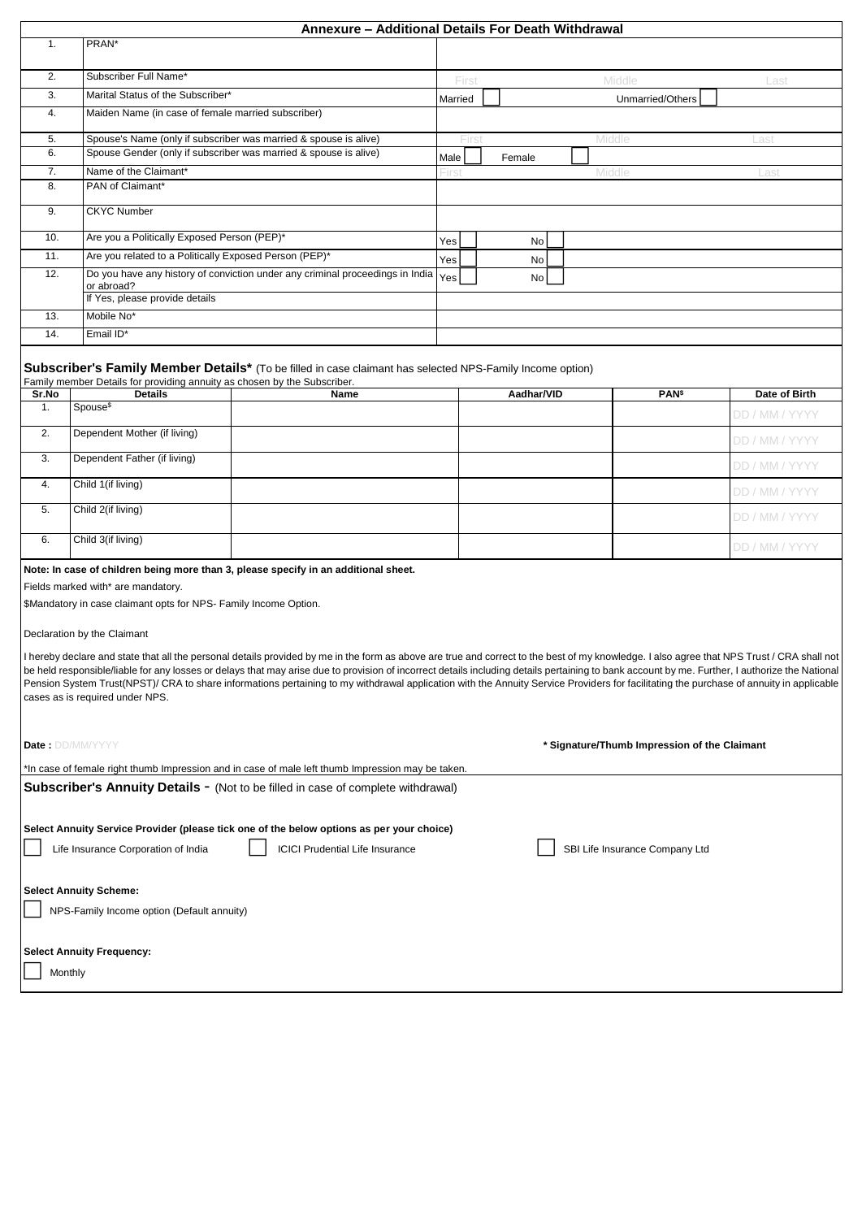|                         |                                                                                                        | Annexure - Additional Details For Death Withdrawal                                                                                                                                                                                                                                                                                                                                                                                                                                                                                                                                      |                                              |                 |                                |                |
|-------------------------|--------------------------------------------------------------------------------------------------------|-----------------------------------------------------------------------------------------------------------------------------------------------------------------------------------------------------------------------------------------------------------------------------------------------------------------------------------------------------------------------------------------------------------------------------------------------------------------------------------------------------------------------------------------------------------------------------------------|----------------------------------------------|-----------------|--------------------------------|----------------|
| 1.                      | PRAN*                                                                                                  |                                                                                                                                                                                                                                                                                                                                                                                                                                                                                                                                                                                         |                                              |                 |                                |                |
| 2.                      | Subscriber Full Name*                                                                                  |                                                                                                                                                                                                                                                                                                                                                                                                                                                                                                                                                                                         |                                              | Middle<br>First |                                | Last           |
| 3.                      | Marital Status of the Subscriber*                                                                      |                                                                                                                                                                                                                                                                                                                                                                                                                                                                                                                                                                                         |                                              |                 | Unmarried/Others               |                |
| 4.                      | Maiden Name (in case of female married subscriber)                                                     |                                                                                                                                                                                                                                                                                                                                                                                                                                                                                                                                                                                         |                                              |                 |                                |                |
| 5.                      |                                                                                                        | Spouse's Name (only if subscriber was married & spouse is alive)                                                                                                                                                                                                                                                                                                                                                                                                                                                                                                                        | Firs                                         |                 | Middle                         | Las            |
| 6.                      |                                                                                                        | Spouse Gender (only if subscriber was married & spouse is alive)                                                                                                                                                                                                                                                                                                                                                                                                                                                                                                                        | Male                                         | Female          |                                |                |
| 7.<br>8.                | Name of the Claimant*<br>PAN of Claimant*                                                              |                                                                                                                                                                                                                                                                                                                                                                                                                                                                                                                                                                                         | First                                        |                 | Middle                         | Last           |
|                         |                                                                                                        |                                                                                                                                                                                                                                                                                                                                                                                                                                                                                                                                                                                         |                                              |                 |                                |                |
| 9.                      | <b>CKYC Number</b>                                                                                     |                                                                                                                                                                                                                                                                                                                                                                                                                                                                                                                                                                                         |                                              |                 |                                |                |
| 10.                     |                                                                                                        | Are you a Politically Exposed Person (PEP)*                                                                                                                                                                                                                                                                                                                                                                                                                                                                                                                                             |                                              |                 |                                |                |
| 11.                     | Are you related to a Politically Exposed Person (PEP)*                                                 |                                                                                                                                                                                                                                                                                                                                                                                                                                                                                                                                                                                         | Yes                                          | No              |                                |                |
| 12.                     | or abroad?                                                                                             | Do you have any history of conviction under any criminal proceedings in India                                                                                                                                                                                                                                                                                                                                                                                                                                                                                                           | Yes                                          | No              |                                |                |
|                         | If Yes, please provide details<br>Mobile No*                                                           |                                                                                                                                                                                                                                                                                                                                                                                                                                                                                                                                                                                         |                                              |                 |                                |                |
| 13.<br>14.              | Email ID*                                                                                              |                                                                                                                                                                                                                                                                                                                                                                                                                                                                                                                                                                                         |                                              |                 |                                |                |
|                         |                                                                                                        |                                                                                                                                                                                                                                                                                                                                                                                                                                                                                                                                                                                         |                                              |                 |                                |                |
|                         |                                                                                                        | Subscriber's Family Member Details* (To be filled in case claimant has selected NPS-Family Income option)                                                                                                                                                                                                                                                                                                                                                                                                                                                                               |                                              |                 |                                |                |
| Sr.No                   | Family member Details for providing annuity as chosen by the Subscriber.<br><b>Details</b>             | Name                                                                                                                                                                                                                                                                                                                                                                                                                                                                                                                                                                                    |                                              | Aadhar/VID      | <b>PAN</b> \$                  | Date of Birth  |
| 1.                      | Spouse <sup>\$</sup>                                                                                   |                                                                                                                                                                                                                                                                                                                                                                                                                                                                                                                                                                                         |                                              |                 |                                | DD / MM / YYYY |
| 2.                      | Dependent Mother (if living)                                                                           |                                                                                                                                                                                                                                                                                                                                                                                                                                                                                                                                                                                         |                                              |                 |                                | DD / MM / YYYY |
| 3.                      | Dependent Father (if living)                                                                           |                                                                                                                                                                                                                                                                                                                                                                                                                                                                                                                                                                                         |                                              |                 |                                | DD / MM / YYYY |
| 4.                      | Child 1(if living)                                                                                     |                                                                                                                                                                                                                                                                                                                                                                                                                                                                                                                                                                                         |                                              |                 |                                | DD / MM / YYYY |
| 5.                      | Child 2(if living)                                                                                     |                                                                                                                                                                                                                                                                                                                                                                                                                                                                                                                                                                                         |                                              |                 |                                | DD / MM / YYYY |
| 6.                      | Child 3(if living)                                                                                     |                                                                                                                                                                                                                                                                                                                                                                                                                                                                                                                                                                                         |                                              |                 |                                | DD / MM / YYYY |
|                         | Fields marked with* are mandatory.<br>\$Mandatory in case claimant opts for NPS- Family Income Option. | Note: In case of children being more than 3, please specify in an additional sheet.                                                                                                                                                                                                                                                                                                                                                                                                                                                                                                     |                                              |                 |                                |                |
|                         | Declaration by the Claimant                                                                            |                                                                                                                                                                                                                                                                                                                                                                                                                                                                                                                                                                                         |                                              |                 |                                |                |
|                         | cases as is required under NPS.                                                                        | I hereby declare and state that all the personal details provided by me in the form as above are true and correct to the best of my knowledge. I also agree that NPS Trust / CRA shall not<br>be held responsible/liable for any losses or delays that may arise due to provision of incorrect details including details pertaining to bank account by me. Further, I authorize the National<br>Pension System Trust(NPST)/ CRA to share informations pertaining to my withdrawal application with the Annuity Service Providers for facilitating the purchase of annuity in applicable |                                              |                 |                                |                |
| <b>Date: DD/MM/YYYY</b> |                                                                                                        |                                                                                                                                                                                                                                                                                                                                                                                                                                                                                                                                                                                         | * Signature/Thumb Impression of the Claimant |                 |                                |                |
|                         |                                                                                                        | In case of female right thumb Impression and in case of male left thumb Impression may be taken."                                                                                                                                                                                                                                                                                                                                                                                                                                                                                       |                                              |                 |                                |                |
|                         |                                                                                                        | Subscriber's Annuity Details - (Not to be filled in case of complete withdrawal)                                                                                                                                                                                                                                                                                                                                                                                                                                                                                                        |                                              |                 |                                |                |
|                         |                                                                                                        | Select Annuity Service Provider (please tick one of the below options as per your choice)                                                                                                                                                                                                                                                                                                                                                                                                                                                                                               |                                              |                 |                                |                |
|                         | Life Insurance Corporation of India                                                                    | <b>ICICI Prudential Life Insurance</b>                                                                                                                                                                                                                                                                                                                                                                                                                                                                                                                                                  |                                              |                 | SBI Life Insurance Company Ltd |                |
|                         |                                                                                                        |                                                                                                                                                                                                                                                                                                                                                                                                                                                                                                                                                                                         |                                              |                 |                                |                |
|                         | <b>Select Annuity Scheme:</b>                                                                          |                                                                                                                                                                                                                                                                                                                                                                                                                                                                                                                                                                                         |                                              |                 |                                |                |
|                         | NPS-Family Income option (Default annuity)                                                             |                                                                                                                                                                                                                                                                                                                                                                                                                                                                                                                                                                                         |                                              |                 |                                |                |
|                         | <b>Select Annuity Frequency:</b>                                                                       |                                                                                                                                                                                                                                                                                                                                                                                                                                                                                                                                                                                         |                                              |                 |                                |                |
| Monthly                 |                                                                                                        |                                                                                                                                                                                                                                                                                                                                                                                                                                                                                                                                                                                         |                                              |                 |                                |                |
|                         |                                                                                                        |                                                                                                                                                                                                                                                                                                                                                                                                                                                                                                                                                                                         |                                              |                 |                                |                |